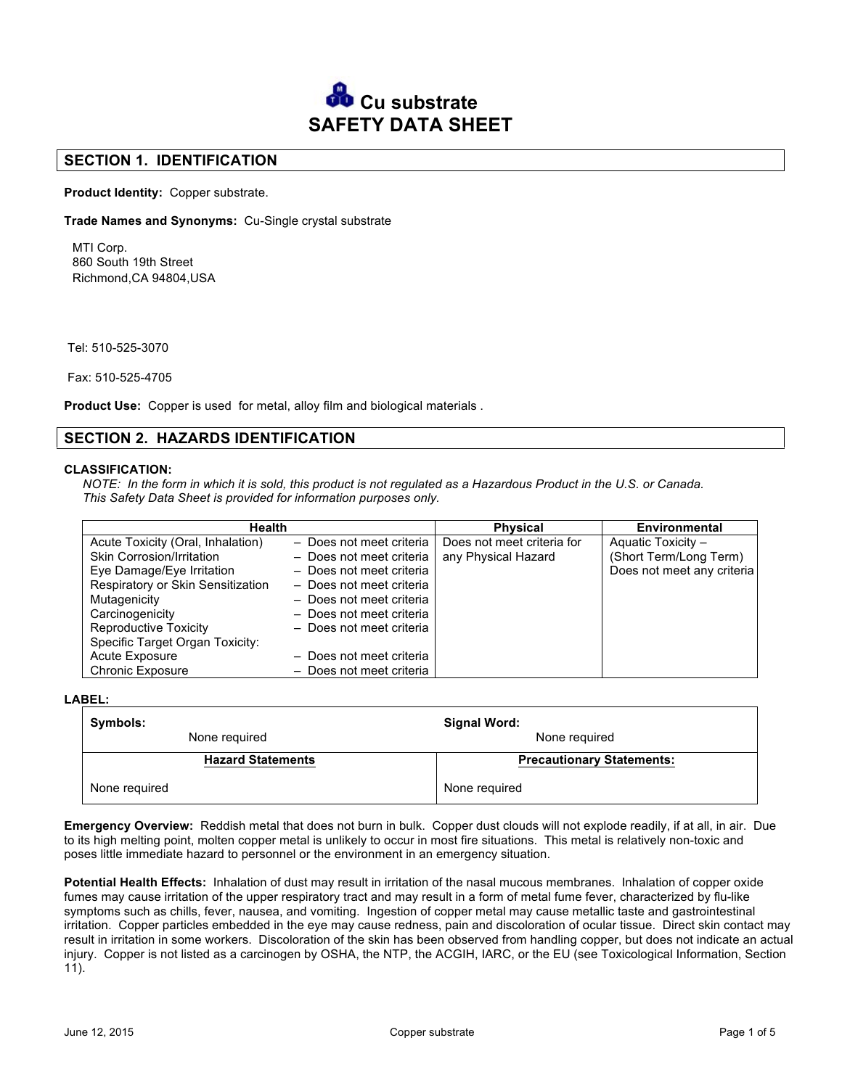

## **SECTION 1. IDENTIFICATION**

**Product Identity:** Copper substrate.

**Trade Names and Synonyms:** Cu-Single crystal substrate

MTI Corp. 860 South 19th Street Richmond,CA 94804,USA

Tel: 510-525-3070

Fax: 510-525-4705

**Product Use:** Copper is used for metal, alloy film and biological materials .

## **SECTION 2. HAZARDS IDENTIFICATION**

#### **CLASSIFICATION:**

*NOTE: In the form in which it is sold, this product is not regulated as a Hazardous Product in the U.S. or Canada. This Safety Data Sheet is provided for information purposes only.* 

| Health                            |                          | <b>Physical</b>            | <b>Environmental</b>       |
|-----------------------------------|--------------------------|----------------------------|----------------------------|
| Acute Toxicity (Oral, Inhalation) | - Does not meet criteria | Does not meet criteria for | Aquatic Toxicity -         |
| Skin Corrosion/Irritation         | - Does not meet criteria | any Physical Hazard        | (Short Term/Long Term)     |
| Eye Damage/Eye Irritation         | - Does not meet criteria |                            | Does not meet any criteria |
| Respiratory or Skin Sensitization | - Does not meet criteria |                            |                            |
| Mutagenicity                      | - Does not meet criteria |                            |                            |
| Carcinogenicity                   | - Does not meet criteria |                            |                            |
| <b>Reproductive Toxicity</b>      | - Does not meet criteria |                            |                            |
| Specific Target Organ Toxicity:   |                          |                            |                            |
| Acute Exposure                    | - Does not meet criteria |                            |                            |
| <b>Chronic Exposure</b>           | - Does not meet criteria |                            |                            |

**LABEL:**

| Symbols:<br>Signal Word: |                                  |  |
|--------------------------|----------------------------------|--|
| None required            | None required                    |  |
| <b>Hazard Statements</b> | <b>Precautionary Statements:</b> |  |
| None required            | None required                    |  |

**Emergency Overview:** Reddish metal that does not burn in bulk. Copper dust clouds will not explode readily, if at all, in air. Due to its high melting point, molten copper metal is unlikely to occur in most fire situations. This metal is relatively non-toxic and poses little immediate hazard to personnel or the environment in an emergency situation.

**Potential Health Effects:** Inhalation of dust may result in irritation of the nasal mucous membranes. Inhalation of copper oxide fumes may cause irritation of the upper respiratory tract and may result in a form of metal fume fever, characterized by flu-like symptoms such as chills, fever, nausea, and vomiting. Ingestion of copper metal may cause metallic taste and gastrointestinal irritation. Copper particles embedded in the eye may cause redness, pain and discoloration of ocular tissue. Direct skin contact may result in irritation in some workers. Discoloration of the skin has been observed from handling copper, but does not indicate an actual injury. Copper is not listed as a carcinogen by OSHA, the NTP, the ACGIH, IARC, or the EU (see Toxicological Information, Section 11).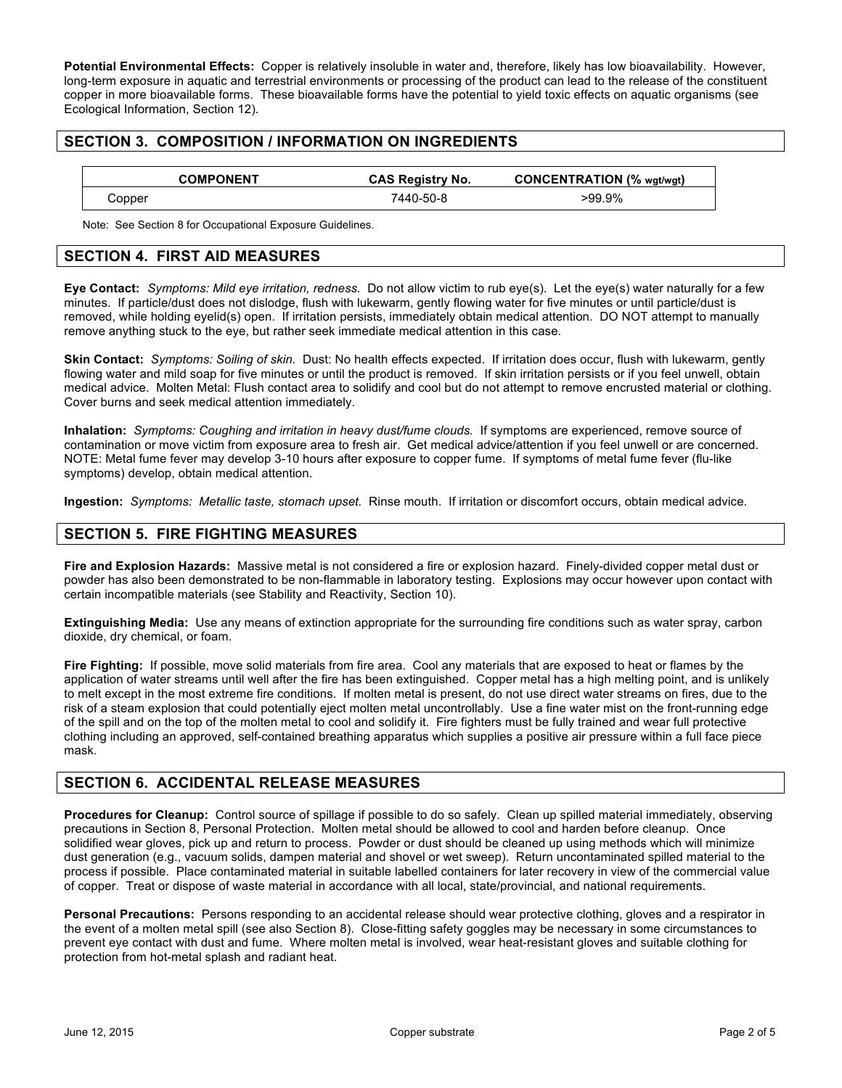**Potential Environmental Effects:** Copper is relatively insoluble in water and, therefore, likely has low bioavailability. However, long-term exposure in aquatic and terrestrial environments or processing of the product can lead to the release of the constituent copper in more bioavailable forms. These bioavailable forms have the potential to yield toxic effects on aquatic organisms (see Ecological Information, Section 12).

## **SECTION 3. COMPOSITION / INFORMATION ON INGREDIENTS**

|        | <b>COMPONENT</b> | <b>CAS Registry No.</b> | <b>CONCENTRATION (% wgt/wgt)</b> |
|--------|------------------|-------------------------|----------------------------------|
| Copper |                  | 7440-50-8               | >99.9%                           |

Note: See Section 8 for Occupational Exposure Guidelines.

## **SECTION 4. FIRST AID MEASURES**

**Eye Contact:** *Symptoms: Mild eye irritation, redness.* Do not allow victim to rub eye(s). Let the eye(s) water naturally for a few minutes. If particle/dust does not dislodge, flush with lukewarm, gently flowing water for five minutes or until particle/dust is removed, while holding eyelid(s) open. If irritation persists, immediately obtain medical attention. DO NOT attempt to manually remove anything stuck to the eye, but rather seek immediate medical attention in this case.

**Skin Contact:** *Symptoms: Soiling of skin.* Dust: No health effects expected. If irritation does occur, flush with lukewarm, gently flowing water and mild soap for five minutes or until the product is removed. If skin irritation persists or if you feel unwell, obtain medical advice. Molten Metal: Flush contact area to solidify and cool but do not attempt to remove encrusted material or clothing. Cover burns and seek medical attention immediately.

**Inhalation:** *Symptoms: Coughing and irritation in heavy dust/fume clouds.* If symptoms are experienced, remove source of contamination or move victim from exposure area to fresh air. Get medical advice/attention if you feel unwell or are concerned. NOTE: Metal fume fever may develop 3-10 hours after exposure to copper fume. If symptoms of metal fume fever (flu-like symptoms) develop, obtain medical attention.

**Ingestion:** *Symptoms: Metallic taste, stomach upset.* Rinse mouth. If irritation or discomfort occurs, obtain medical advice.

## **SECTION 5. FIRE FIGHTING MEASURES**

**Fire and Explosion Hazards:** Massive metal is not considered a fire or explosion hazard. Finely-divided copper metal dust or powder has also been demonstrated to be non-flammable in laboratory testing. Explosions may occur however upon contact with certain incompatible materials (see Stability and Reactivity, Section 10).

**Extinguishing Media:** Use any means of extinction appropriate for the surrounding fire conditions such as water spray, carbon dioxide, dry chemical, or foam.

**Fire Fighting:** If possible, move solid materials from fire area. Cool any materials that are exposed to heat or flames by the application of water streams until well after the fire has been extinguished. Copper metal has a high melting point, and is unlikely to melt except in the most extreme fire conditions. If molten metal is present, do not use direct water streams on fires, due to the risk of a steam explosion that could potentially eject molten metal uncontrollably. Use a fine water mist on the front-running edge of the spill and on the top of the molten metal to cool and solidify it. Fire fighters must be fully trained and wear full protective clothing including an approved, self-contained breathing apparatus which supplies a positive air pressure within a full face piece mask.

## **SECTION 6. ACCIDENTAL RELEASE MEASURES**

**Procedures for Cleanup:** Control source of spillage if possible to do so safely. Clean up spilled material immediately, observing precautions in Section 8, Personal Protection. Molten metal should be allowed to cool and harden before cleanup. Once solidified wear gloves, pick up and return to process. Powder or dust should be cleaned up using methods which will minimize dust generation (e.g., vacuum solids, dampen material and shovel or wet sweep). Return uncontaminated spilled material to the process if possible. Place contaminated material in suitable labelled containers for later recovery in view of the commercial value of copper. Treat or dispose of waste material in accordance with all local, state/provincial, and national requirements.

**Personal Precautions:** Persons responding to an accidental release should wear protective clothing, gloves and a respirator in the event of a molten metal spill (see also Section 8). Close-fitting safety goggles may be necessary in some circumstances to prevent eye contact with dust and fume. Where molten metal is involved, wear heat-resistant gloves and suitable clothing for protection from hot-metal splash and radiant heat.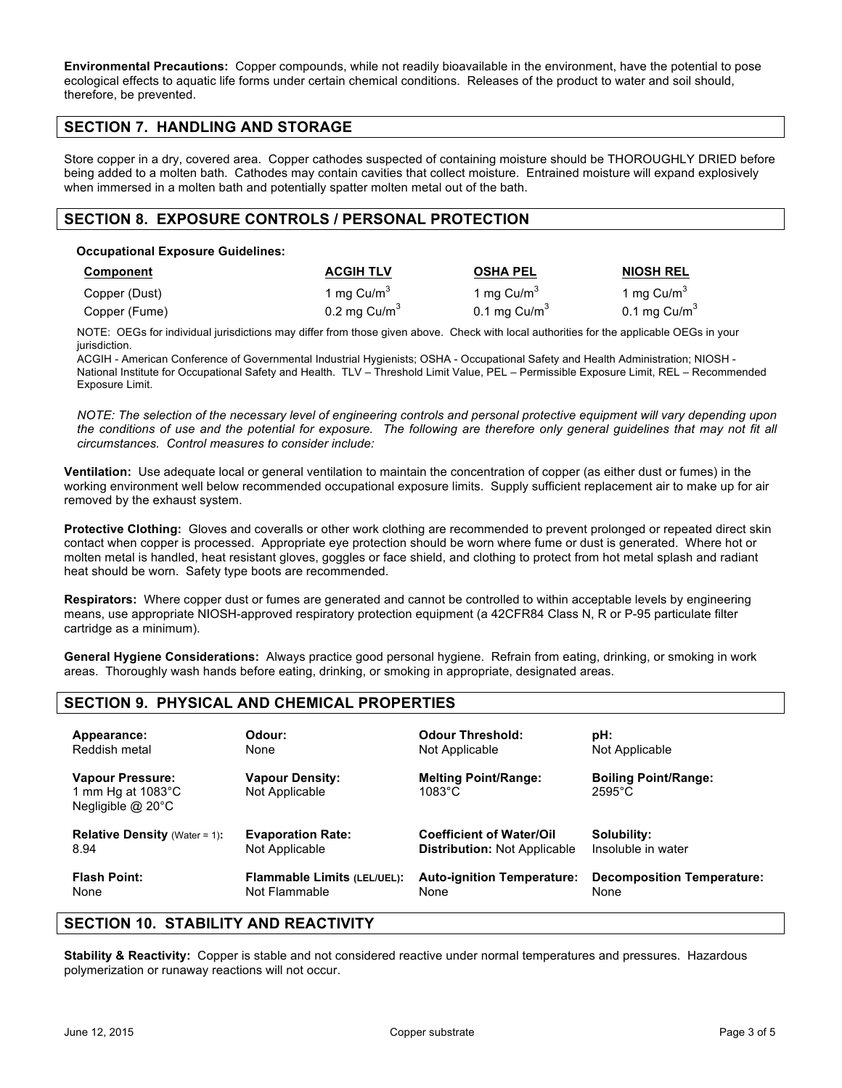**Environmental Precautions:** Copper compounds, while not readily bioavailable in the environment, have the potential to pose ecological effects to aquatic life forms under certain chemical conditions. Releases of the product to water and soil should, therefore, be prevented.

## **SECTION 7. HANDLING AND STORAGE**

Store copper in a dry, covered area. Copper cathodes suspected of containing moisture should be THOROUGHLY DRIED before being added to a molten bath. Cathodes may contain cavities that collect moisture. Entrained moisture will expand explosively when immersed in a molten bath and potentially spatter molten metal out of the bath.

## **SECTION 8. EXPOSURE CONTROLS / PERSONAL PROTECTION**

#### **Occupational Exposure Guidelines:**

| Component     | <b>ACGIH TLV</b>                         | <b>OSHA PEL</b>        | <b>NIOSH REL</b>                         |
|---------------|------------------------------------------|------------------------|------------------------------------------|
| Copper (Dust) | 1 mg Cu/m <sup>3</sup><br>0.2 mg $Cu/m3$ | 1 mg Cu/m <sup>3</sup> | 1 mg Cu/m <sup>3</sup><br>0.1 mg $Cu/m3$ |
| Copper (Fume) |                                          | 0.1 mg $Cu/m3$         |                                          |

NOTE: OEGs for individual jurisdictions may differ from those given above. Check with local authorities for the applicable OEGs in your jurisdiction.

ACGIH - American Conference of Governmental Industrial Hygienists; OSHA - Occupational Safety and Health Administration; NIOSH - National Institute for Occupational Safety and Health. TLV – Threshold Limit Value, PEL – Permissible Exposure Limit, REL – Recommended Exposure Limit.

*NOTE: The selection of the necessary level of engineering controls and personal protective equipment will vary depending upon the conditions of use and the potential for exposure. The following are therefore only general guidelines that may not fit all circumstances. Control measures to consider include:*

**Ventilation:** Use adequate local or general ventilation to maintain the concentration of copper (as either dust or fumes) in the working environment well below recommended occupational exposure limits. Supply sufficient replacement air to make up for air removed by the exhaust system.

**Protective Clothing:** Gloves and coveralls or other work clothing are recommended to prevent prolonged or repeated direct skin contact when copper is processed. Appropriate eye protection should be worn where fume or dust is generated. Where hot or molten metal is handled, heat resistant gloves, goggles or face shield, and clothing to protect from hot metal splash and radiant heat should be worn. Safety type boots are recommended.

**Respirators:** Where copper dust or fumes are generated and cannot be controlled to within acceptable levels by engineering means, use appropriate NIOSH-approved respiratory protection equipment (a 42CFR84 Class N, R or P-95 particulate filter cartridge as a minimum).

**General Hygiene Considerations:** Always practice good personal hygiene. Refrain from eating, drinking, or smoking in work areas. Thoroughly wash hands before eating, drinking, or smoking in appropriate, designated areas.

# **SECTION 9. PHYSICAL AND CHEMICAL PROPERTIES**

| Appearance:                                                                      | Odour:                                   | <b>Odour Threshold:</b>                         | pH:                                             |
|----------------------------------------------------------------------------------|------------------------------------------|-------------------------------------------------|-------------------------------------------------|
| Reddish metal                                                                    | None                                     | Not Applicable                                  | Not Applicable                                  |
| <b>Vapour Pressure:</b><br>1 mm Hg at $1083^{\circ}$ C<br>Negligible $@$ 20 $°C$ | <b>Vapour Density:</b><br>Not Applicable | <b>Melting Point/Range:</b><br>$1083^{\circ}$ C | <b>Boiling Point/Range:</b><br>$2595^{\circ}$ C |
| <b>Relative Density (Water = 1):</b>                                             | <b>Evaporation Rate:</b>                 | <b>Coefficient of Water/Oil</b>                 | Solubility:                                     |
| 8.94                                                                             | Not Applicable                           | <b>Distribution: Not Applicable</b>             | Insoluble in water                              |
| <b>Flash Point:</b>                                                              | <b>Flammable Limits (LEL/UEL):</b>       | <b>Auto-ignition Temperature:</b>               | <b>Decomposition Temperature:</b>               |
| None                                                                             | Not Flammable                            | None                                            | None                                            |

## **SECTION 10. STABILITY AND REACTIVITY**

**Stability & Reactivity:** Copper is stable and not considered reactive under normal temperatures and pressures. Hazardous polymerization or runaway reactions will not occur.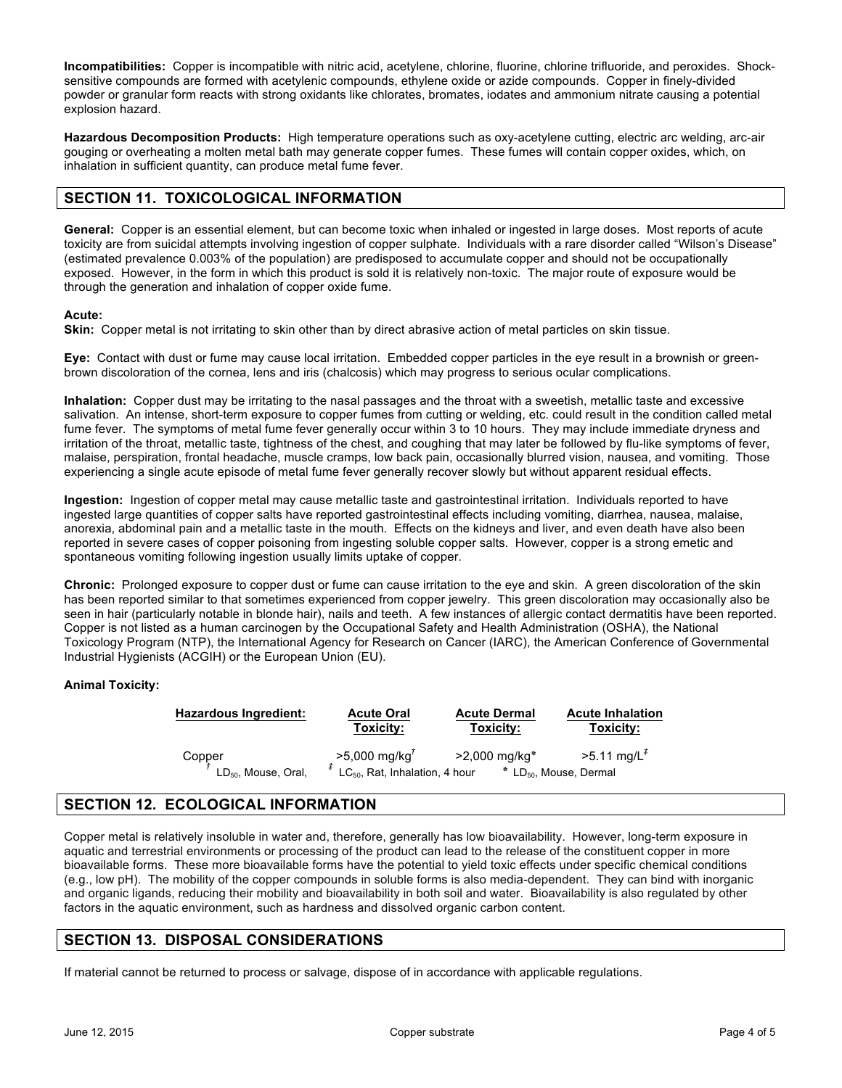**Incompatibilities:** Copper is incompatible with nitric acid, acetylene, chlorine, fluorine, chlorine trifluoride, and peroxides. Shocksensitive compounds are formed with acetylenic compounds, ethylene oxide or azide compounds. Copper in finely-divided powder or granular form reacts with strong oxidants like chlorates, bromates, iodates and ammonium nitrate causing a potential explosion hazard.

**Hazardous Decomposition Products:** High temperature operations such as oxy-acetylene cutting, electric arc welding, arc-air gouging or overheating a molten metal bath may generate copper fumes. These fumes will contain copper oxides, which, on inhalation in sufficient quantity, can produce metal fume fever.

# **SECTION 11. TOXICOLOGICAL INFORMATION**

**General:** Copper is an essential element, but can become toxic when inhaled or ingested in large doses. Most reports of acute toxicity are from suicidal attempts involving ingestion of copper sulphate. Individuals with a rare disorder called "Wilson's Disease" (estimated prevalence 0.003% of the population) are predisposed to accumulate copper and should not be occupationally exposed. However, in the form in which this product is sold it is relatively non-toxic. The major route of exposure would be through the generation and inhalation of copper oxide fume.

#### **Acute:**

**Skin:** Copper metal is not irritating to skin other than by direct abrasive action of metal particles on skin tissue.

**Eye:** Contact with dust or fume may cause local irritation. Embedded copper particles in the eye result in a brownish or greenbrown discoloration of the cornea, lens and iris (chalcosis) which may progress to serious ocular complications.

**Inhalation:** Copper dust may be irritating to the nasal passages and the throat with a sweetish, metallic taste and excessive salivation. An intense, short-term exposure to copper fumes from cutting or welding, etc. could result in the condition called metal fume fever. The symptoms of metal fume fever generally occur within 3 to 10 hours. They may include immediate dryness and irritation of the throat, metallic taste, tightness of the chest, and coughing that may later be followed by flu-like symptoms of fever, malaise, perspiration, frontal headache, muscle cramps, low back pain, occasionally blurred vision, nausea, and vomiting. Those experiencing a single acute episode of metal fume fever generally recover slowly but without apparent residual effects.

**Ingestion:** Ingestion of copper metal may cause metallic taste and gastrointestinal irritation. Individuals reported to have ingested large quantities of copper salts have reported gastrointestinal effects including vomiting, diarrhea, nausea, malaise, anorexia, abdominal pain and a metallic taste in the mouth. Effects on the kidneys and liver, and even death have also been reported in severe cases of copper poisoning from ingesting soluble copper salts. However, copper is a strong emetic and spontaneous vomiting following ingestion usually limits uptake of copper.

**Chronic:** Prolonged exposure to copper dust or fume can cause irritation to the eye and skin. A green discoloration of the skin has been reported similar to that sometimes experienced from copper jewelry. This green discoloration may occasionally also be seen in hair (particularly notable in blonde hair), nails and teeth. A few instances of allergic contact dermatitis have been reported. Copper is not listed as a human carcinogen by the Occupational Safety and Health Administration (OSHA), the National Toxicology Program (NTP), the International Agency for Research on Cancer (IARC), the American Conference of Governmental Industrial Hygienists (ACGIH) or the European Union (EU).

### **Animal Toxicity:**

| <b>Hazardous Ingredient:</b>              | <b>Acute Oral</b>                                                                          | <b>Acute Dermal</b> | <b>Acute Inhalation</b>                                                            |
|-------------------------------------------|--------------------------------------------------------------------------------------------|---------------------|------------------------------------------------------------------------------------|
|                                           | Toxicity:                                                                                  | Toxicity:           | Toxicity:                                                                          |
| Copper<br>LD <sub>50</sub> , Mouse, Oral, | $>5,000 \text{ mg/kg}^T$ $>2,0$<br><sup>#</sup> LC <sub>50</sub> , Rat, Inhalation, 4 hour | >2,000 mg/kg*       | $>5.11$ mg/L <sup><math>\bar{x}</math></sup><br>* LD <sub>50</sub> , Mouse, Dermal |

## **SECTION 12. ECOLOGICAL INFORMATION**

Copper metal is relatively insoluble in water and, therefore, generally has low bioavailability. However, long-term exposure in aquatic and terrestrial environments or processing of the product can lead to the release of the constituent copper in more bioavailable forms. These more bioavailable forms have the potential to yield toxic effects under specific chemical conditions (e.g., low pH). The mobility of the copper compounds in soluble forms is also media-dependent. They can bind with inorganic and organic ligands, reducing their mobility and bioavailability in both soil and water. Bioavailability is also regulated by other factors in the aquatic environment, such as hardness and dissolved organic carbon content.

## **SECTION 13. DISPOSAL CONSIDERATIONS**

If material cannot be returned to process or salvage, dispose of in accordance with applicable regulations.